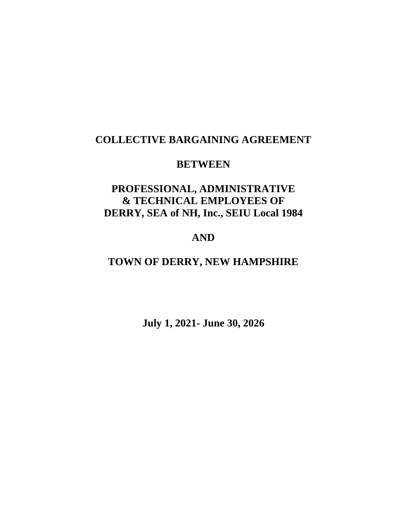## **COLLECTIVE BARGAINING AGREEMENT**

## **BETWEEN**

# **PROFESSIONAL, ADMINISTRATIVE & TECHNICAL EMPLOYEES OF DERRY, SEA of NH, Inc., SEIU Local 1984**

## **AND**

# **TOWN OF DERRY, NEW HAMPSHIRE**

**July 1, 2021- June 30, 2026**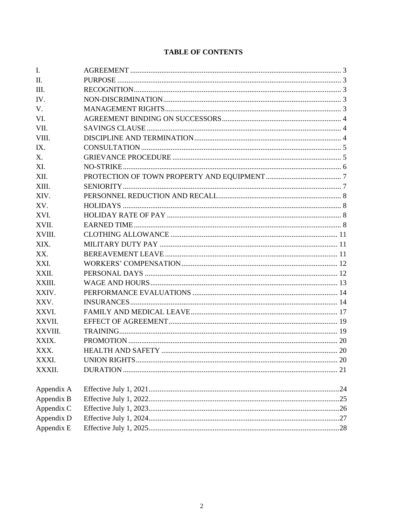| I.              |  |
|-----------------|--|
| $\mathbf{II}$ . |  |
| Ш.              |  |
| IV.             |  |
| V.              |  |
| VI.             |  |
| VII.            |  |
| VIII.           |  |
| IX.             |  |
| Χ.              |  |
| XI.             |  |
| XII.            |  |
| XIII.           |  |
| XIV.            |  |
| XV.             |  |
| XVI.            |  |
| XVII.           |  |
| XVIII.          |  |
| XIX.            |  |
| XX.             |  |
| XXI.            |  |
| XXII.           |  |
| XXIII.          |  |
| XXIV.           |  |
| XXV.            |  |
| XXVI.           |  |
| XXVII.          |  |
| XXVIII.         |  |
| XXIX.           |  |
| XXX.            |  |
| XXXI.           |  |
| XXXII.          |  |
| Appendix A      |  |
| Appendix B      |  |
| Appendix C      |  |
| Appendix D      |  |
| Appendix E      |  |

### **TABLE OF CONTENTS**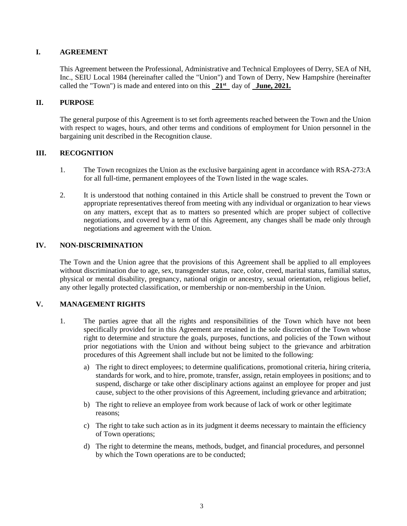#### **I. AGREEMENT**

This Agreement between the Professional, Administrative and Technical Employees of Derry, SEA of NH, Inc., SEIU Local 1984 (hereinafter called the "Union") and Town of Derry, New Hampshire (hereinafter called the "Town") is made and entered into on this **21st** day of **June, 2021.**

#### **II. PURPOSE**

The general purpose of this Agreement is to set forth agreements reached between the Town and the Union with respect to wages, hours, and other terms and conditions of employment for Union personnel in the bargaining unit described in the Recognition clause.

#### **III. RECOGNITION**

- 1. The Town recognizes the Union as the exclusive bargaining agent in accordance with RSA-273:A for all full-time, permanent employees of the Town listed in the wage scales.
- 2. It is understood that nothing contained in this Article shall be construed to prevent the Town or appropriate representatives thereof from meeting with any individual or organization to hear views on any matters, except that as to matters so presented which are proper subject of collective negotiations, and covered by a term of this Agreement, any changes shall be made only through negotiations and agreement with the Union.

#### **IV. NON-DISCRIMINATION**

The Town and the Union agree that the provisions of this Agreement shall be applied to all employees without discrimination due to age, sex, transgender status, race, color, creed, marital status, familial status, physical or mental disability, pregnancy, national origin or ancestry, sexual orientation, religious belief, any other legally protected classification, or membership or non-membership in the Union.

### **V. MANAGEMENT RIGHTS**

- 1. The parties agree that all the rights and responsibilities of the Town which have not been specifically provided for in this Agreement are retained in the sole discretion of the Town whose right to determine and structure the goals, purposes, functions, and policies of the Town without prior negotiations with the Union and without being subject to the grievance and arbitration procedures of this Agreement shall include but not be limited to the following:
	- a) The right to direct employees; to determine qualifications, promotional criteria, hiring criteria, standards for work, and to hire, promote, transfer, assign, retain employees in positions; and to suspend, discharge or take other disciplinary actions against an employee for proper and just cause, subject to the other provisions of this Agreement, including grievance and arbitration;
	- b) The right to relieve an employee from work because of lack of work or other legitimate reasons;
	- c) The right to take such action as in its judgment it deems necessary to maintain the efficiency of Town operations;
	- d) The right to determine the means, methods, budget, and financial procedures, and personnel by which the Town operations are to be conducted;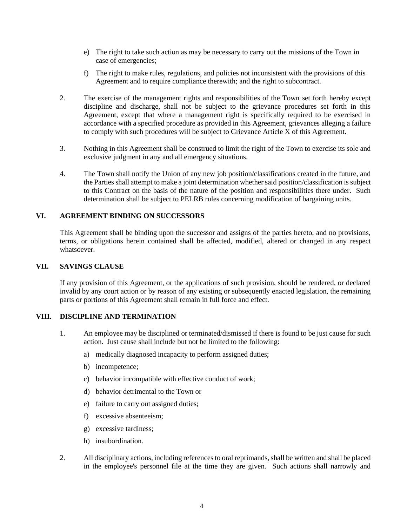- e) The right to take such action as may be necessary to carry out the missions of the Town in case of emergencies;
- f) The right to make rules, regulations, and policies not inconsistent with the provisions of this Agreement and to require compliance therewith; and the right to subcontract.
- 2. The exercise of the management rights and responsibilities of the Town set forth hereby except discipline and discharge, shall not be subject to the grievance procedures set forth in this Agreement, except that where a management right is specifically required to be exercised in accordance with a specified procedure as provided in this Agreement, grievances alleging a failure to comply with such procedures will be subject to Grievance Article X of this Agreement.
- 3. Nothing in this Agreement shall be construed to limit the right of the Town to exercise its sole and exclusive judgment in any and all emergency situations.
- 4. The Town shall notify the Union of any new job position/classifications created in the future, and the Parties shall attempt to make a joint determination whether said position/classification is subject to this Contract on the basis of the nature of the position and responsibilities there under. Such determination shall be subject to PELRB rules concerning modification of bargaining units.

#### **VI. AGREEMENT BINDING ON SUCCESSORS**

This Agreement shall be binding upon the successor and assigns of the parties hereto, and no provisions, terms, or obligations herein contained shall be affected, modified, altered or changed in any respect whatsoever.

#### **VII. SAVINGS CLAUSE**

If any provision of this Agreement, or the applications of such provision, should be rendered, or declared invalid by any court action or by reason of any existing or subsequently enacted legislation, the remaining parts or portions of this Agreement shall remain in full force and effect.

#### **VIII. DISCIPLINE AND TERMINATION**

- 1. An employee may be disciplined or terminated/dismissed if there is found to be just cause for such action. Just cause shall include but not be limited to the following:
	- a) medically diagnosed incapacity to perform assigned duties;
	- b) incompetence;
	- c) behavior incompatible with effective conduct of work;
	- d) behavior detrimental to the Town or
	- e) failure to carry out assigned duties;
	- f) excessive absenteeism;
	- g) excessive tardiness;
	- h) insubordination.
- 2. All disciplinary actions, including references to oral reprimands, shall be written and shall be placed in the employee's personnel file at the time they are given. Such actions shall narrowly and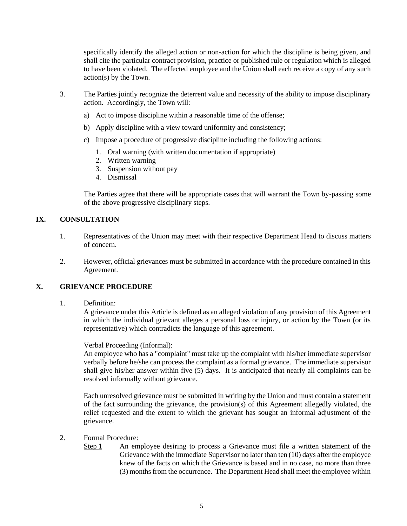specifically identify the alleged action or non-action for which the discipline is being given, and shall cite the particular contract provision, practice or published rule or regulation which is alleged to have been violated. The effected employee and the Union shall each receive a copy of any such action(s) by the Town.

- 3. The Parties jointly recognize the deterrent value and necessity of the ability to impose disciplinary action. Accordingly, the Town will:
	- a) Act to impose discipline within a reasonable time of the offense;
	- b) Apply discipline with a view toward uniformity and consistency;
	- c) Impose a procedure of progressive discipline including the following actions:
		- 1. Oral warning (with written documentation if appropriate)
		- 2. Written warning
		- 3. Suspension without pay
		- 4. Dismissal

The Parties agree that there will be appropriate cases that will warrant the Town by-passing some of the above progressive disciplinary steps.

#### **IX. CONSULTATION**

- 1. Representatives of the Union may meet with their respective Department Head to discuss matters of concern.
- 2. However, official grievances must be submitted in accordance with the procedure contained in this Agreement.

#### **X. GRIEVANCE PROCEDURE**

1. Definition:

A grievance under this Article is defined as an alleged violation of any provision of this Agreement in which the individual grievant alleges a personal loss or injury, or action by the Town (or its representative) which contradicts the language of this agreement.

Verbal Proceeding (Informal):

An employee who has a "complaint" must take up the complaint with his/her immediate supervisor verbally before he/she can process the complaint as a formal grievance. The immediate supervisor shall give his/her answer within five (5) days. It is anticipated that nearly all complaints can be resolved informally without grievance.

Each unresolved grievance must be submitted in writing by the Union and must contain a statement of the fact surrounding the grievance, the provision(s) of this Agreement allegedly violated, the relief requested and the extent to which the grievant has sought an informal adjustment of the grievance.

- 2. Formal Procedure:
	- Step 1 An employee desiring to process a Grievance must file a written statement of the Grievance with the immediate Supervisor no later than ten (10) days after the employee knew of the facts on which the Grievance is based and in no case, no more than three (3) months from the occurrence. The Department Head shall meet the employee within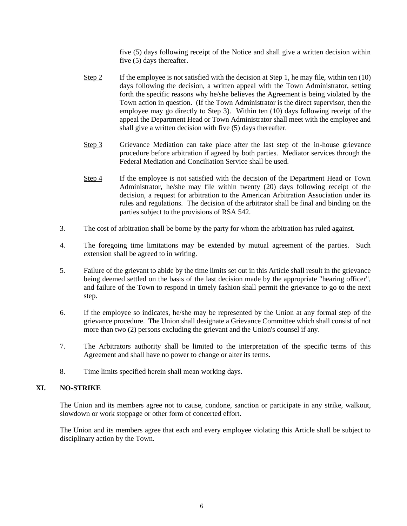five (5) days following receipt of the Notice and shall give a written decision within five (5) days thereafter.

- Step 2 If the employee is not satisfied with the decision at Step 1, he may file, within ten  $(10)$ days following the decision, a written appeal with the Town Administrator, setting forth the specific reasons why he/she believes the Agreement is being violated by the Town action in question. (If the Town Administrator is the direct supervisor, then the employee may go directly to Step 3). Within ten (10) days following receipt of the appeal the Department Head or Town Administrator shall meet with the employee and shall give a written decision with five (5) days thereafter.
- Step 3 Grievance Mediation can take place after the last step of the in-house grievance procedure before arbitration if agreed by both parties. Mediator services through the Federal Mediation and Conciliation Service shall be used.
- Step 4 If the employee is not satisfied with the decision of the Department Head or Town Administrator, he/she may file within twenty (20) days following receipt of the decision, a request for arbitration to the American Arbitration Association under its rules and regulations. The decision of the arbitrator shall be final and binding on the parties subject to the provisions of RSA 542.
- 3. The cost of arbitration shall be borne by the party for whom the arbitration has ruled against.
- 4. The foregoing time limitations may be extended by mutual agreement of the parties. Such extension shall be agreed to in writing.
- 5. Failure of the grievant to abide by the time limits set out in this Article shall result in the grievance being deemed settled on the basis of the last decision made by the appropriate "hearing officer", and failure of the Town to respond in timely fashion shall permit the grievance to go to the next step.
- 6. If the employee so indicates, he/she may be represented by the Union at any formal step of the grievance procedure. The Union shall designate a Grievance Committee which shall consist of not more than two (2) persons excluding the grievant and the Union's counsel if any.
- 7. The Arbitrators authority shall be limited to the interpretation of the specific terms of this Agreement and shall have no power to change or alter its terms.
- 8. Time limits specified herein shall mean working days.

#### **XI. NO-STRIKE**

The Union and its members agree not to cause, condone, sanction or participate in any strike, walkout, slowdown or work stoppage or other form of concerted effort.

The Union and its members agree that each and every employee violating this Article shall be subject to disciplinary action by the Town.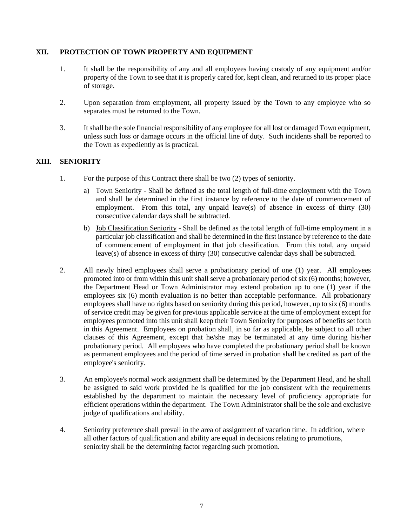#### **XII. PROTECTION OF TOWN PROPERTY AND EQUIPMENT**

- 1. It shall be the responsibility of any and all employees having custody of any equipment and/or property of the Town to see that it is properly cared for, kept clean, and returned to its proper place of storage.
- 2. Upon separation from employment, all property issued by the Town to any employee who so separates must be returned to the Town.
- 3. It shall be the sole financial responsibility of any employee for all lost or damaged Town equipment, unless such loss or damage occurs in the official line of duty. Such incidents shall be reported to the Town as expediently as is practical.

### **XIII. SENIORITY**

- 1. For the purpose of this Contract there shall be two (2) types of seniority.
	- a) Town Seniority Shall be defined as the total length of full-time employment with the Town and shall be determined in the first instance by reference to the date of commencement of employment. From this total, any unpaid leave(s) of absence in excess of thirty (30) consecutive calendar days shall be subtracted.
	- b) Job Classification Seniority Shall be defined as the total length of full-time employment in a particular job classification and shall be determined in the first instance by reference to the date of commencement of employment in that job classification. From this total, any unpaid leave(s) of absence in excess of thirty (30) consecutive calendar days shall be subtracted.
- 2. All newly hired employees shall serve a probationary period of one (1) year. All employees promoted into or from within this unit shall serve a probationary period of six (6) months; however, the Department Head or Town Administrator may extend probation up to one (1) year if the employees six (6) month evaluation is no better than acceptable performance. All probationary employees shall have no rights based on seniority during this period, however, up to six (6) months of service credit may be given for previous applicable service at the time of employment except for employees promoted into this unit shall keep their Town Seniority for purposes of benefits set forth in this Agreement. Employees on probation shall, in so far as applicable, be subject to all other clauses of this Agreement, except that he/she may be terminated at any time during his/her probationary period. All employees who have completed the probationary period shall be known as permanent employees and the period of time served in probation shall be credited as part of the employee's seniority.
- 3. An employee's normal work assignment shall be determined by the Department Head, and he shall be assigned to said work provided he is qualified for the job consistent with the requirements established by the department to maintain the necessary level of proficiency appropriate for efficient operations within the department. The Town Administrator shall be the sole and exclusive judge of qualifications and ability.
- 4. Seniority preference shall prevail in the area of assignment of vacation time. In addition, where all other factors of qualification and ability are equal in decisions relating to promotions, seniority shall be the determining factor regarding such promotion.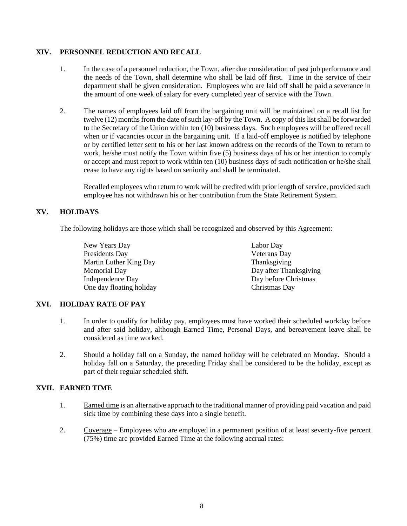#### **XIV. PERSONNEL REDUCTION AND RECALL**

- 1. In the case of a personnel reduction, the Town, after due consideration of past job performance and the needs of the Town, shall determine who shall be laid off first. Time in the service of their department shall be given consideration. Employees who are laid off shall be paid a severance in the amount of one week of salary for every completed year of service with the Town.
- 2. The names of employees laid off from the bargaining unit will be maintained on a recall list for twelve (12) months from the date of such lay-off by the Town. A copy of this list shall be forwarded to the Secretary of the Union within ten (10) business days. Such employees will be offered recall when or if vacancies occur in the bargaining unit. If a laid-off employee is notified by telephone or by certified letter sent to his or her last known address on the records of the Town to return to work, he/she must notify the Town within five (5) business days of his or her intention to comply or accept and must report to work within ten (10) business days of such notification or he/she shall cease to have any rights based on seniority and shall be terminated.

Recalled employees who return to work will be credited with prior length of service, provided such employee has not withdrawn his or her contribution from the State Retirement System.

#### **XV. HOLIDAYS**

The following holidays are those which shall be recognized and observed by this Agreement:

New Years Day **Labor Day** Presidents Day Veterans Day Martin Luther King Day Thanksgiving Memorial Day **Day after Thanksgiving** Independence Day Day before Christmas One day floating holiday Christmas Day

#### **XVI. HOLIDAY RATE OF PAY**

- 1. In order to qualify for holiday pay, employees must have worked their scheduled workday before and after said holiday, although Earned Time, Personal Days, and bereavement leave shall be considered as time worked.
- 2. Should a holiday fall on a Sunday, the named holiday will be celebrated on Monday. Should a holiday fall on a Saturday, the preceding Friday shall be considered to be the holiday, except as part of their regular scheduled shift.

#### **XVII. EARNED TIME**

- 1. Earned time is an alternative approach to the traditional manner of providing paid vacation and paid sick time by combining these days into a single benefit.
- 2. Coverage Employees who are employed in a permanent position of at least seventy-five percent (75%) time are provided Earned Time at the following accrual rates: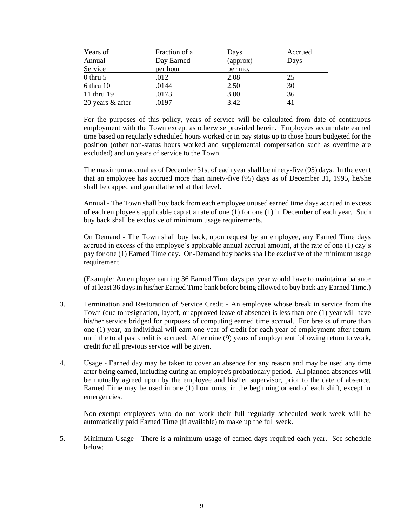| Years of         | Fraction of a | Days     | Accrued |
|------------------|---------------|----------|---------|
| Annual           | Day Earned    | (approx) | Days    |
| Service          | per hour      | per mo.  |         |
| $0$ thru $5$     | .012          | 2.08     | 25      |
| $6$ thru $10$    | .0144         | 2.50     | 30      |
| 11 thru 19       | .0173         | 3.00     | 36      |
| 20 years & after | .0197         | 3.42     | 41      |

For the purposes of this policy, years of service will be calculated from date of continuous employment with the Town except as otherwise provided herein. Employees accumulate earned time based on regularly scheduled hours worked or in pay status up to those hours budgeted for the position (other non-status hours worked and supplemental compensation such as overtime are excluded) and on years of service to the Town.

The maximum accrual as of December 31st of each year shall be ninety-five (95) days. In the event that an employee has accrued more than ninety-five (95) days as of December 31, 1995, he/she shall be capped and grandfathered at that level.

Annual - The Town shall buy back from each employee unused earned time days accrued in excess of each employee's applicable cap at a rate of one (1) for one (1) in December of each year. Such buy back shall be exclusive of minimum usage requirements.

On Demand - The Town shall buy back, upon request by an employee, any Earned Time days accrued in excess of the employee's applicable annual accrual amount, at the rate of one (1) day's pay for one (1) Earned Time day. On-Demand buy backs shall be exclusive of the minimum usage requirement.

(Example: An employee earning 36 Earned Time days per year would have to maintain a balance of at least 36 days in his/her Earned Time bank before being allowed to buy back any Earned Time.)

- 3. Termination and Restoration of Service Credit An employee whose break in service from the Town (due to resignation, layoff, or approved leave of absence) is less than one (1) year will have his/her service bridged for purposes of computing earned time accrual. For breaks of more than one (1) year, an individual will earn one year of credit for each year of employment after return until the total past credit is accrued. After nine (9) years of employment following return to work, credit for all previous service will be given.
- 4. Usage Earned day may be taken to cover an absence for any reason and may be used any time after being earned, including during an employee's probationary period. All planned absences will be mutually agreed upon by the employee and his/her supervisor, prior to the date of absence. Earned Time may be used in one (1) hour units, in the beginning or end of each shift, except in emergencies.

Non-exempt employees who do not work their full regularly scheduled work week will be automatically paid Earned Time (if available) to make up the full week.

5. Minimum Usage - There is a minimum usage of earned days required each year. See schedule below: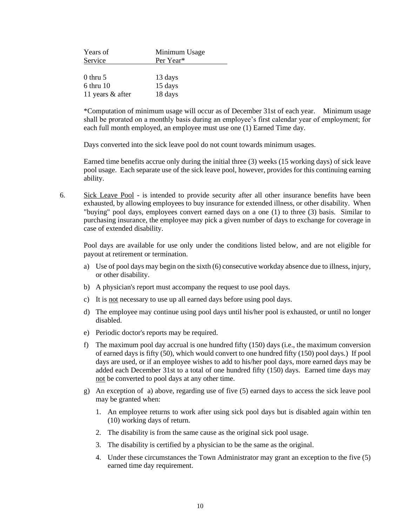| Years of         | Minimum Usage |  |  |  |  |  |
|------------------|---------------|--|--|--|--|--|
| Service          | Per Year*     |  |  |  |  |  |
|                  |               |  |  |  |  |  |
| $0$ thru 5       | 13 days       |  |  |  |  |  |
| $6$ thru $10$    | 15 days       |  |  |  |  |  |
| 11 years & after | 18 days       |  |  |  |  |  |

\*Computation of minimum usage will occur as of December 31st of each year. Minimum usage shall be prorated on a monthly basis during an employee's first calendar year of employment; for each full month employed, an employee must use one (1) Earned Time day.

Days converted into the sick leave pool do not count towards minimum usages.

Earned time benefits accrue only during the initial three (3) weeks (15 working days) of sick leave pool usage. Each separate use of the sick leave pool, however, provides for this continuing earning ability.

6. Sick Leave Pool - is intended to provide security after all other insurance benefits have been exhausted, by allowing employees to buy insurance for extended illness, or other disability. When "buying" pool days, employees convert earned days on a one (1) to three (3) basis. Similar to purchasing insurance, the employee may pick a given number of days to exchange for coverage in case of extended disability.

Pool days are available for use only under the conditions listed below, and are not eligible for payout at retirement or termination.

- a) Use of pool days may begin on the sixth (6) consecutive workday absence due to illness, injury, or other disability.
- b) A physician's report must accompany the request to use pool days.
- c) It is not necessary to use up all earned days before using pool days.
- d) The employee may continue using pool days until his/her pool is exhausted, or until no longer disabled.
- e) Periodic doctor's reports may be required.
- f) The maximum pool day accrual is one hundred fifty (150) days (i.e., the maximum conversion of earned days is fifty (50), which would convert to one hundred fifty (150) pool days.) If pool days are used, or if an employee wishes to add to his/her pool days, more earned days may be added each December 31st to a total of one hundred fifty (150) days. Earned time days may not be converted to pool days at any other time.
- g) An exception of a) above, regarding use of five (5) earned days to access the sick leave pool may be granted when:
	- 1. An employee returns to work after using sick pool days but is disabled again within ten (10) working days of return.
	- 2. The disability is from the same cause as the original sick pool usage.
	- 3. The disability is certified by a physician to be the same as the original.
	- 4. Under these circumstances the Town Administrator may grant an exception to the five (5) earned time day requirement.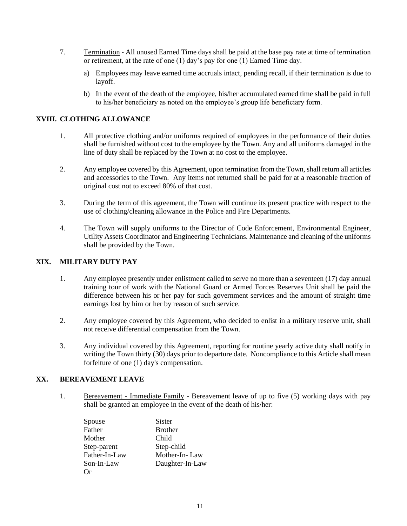- 7. Termination All unused Earned Time days shall be paid at the base pay rate at time of termination or retirement, at the rate of one (1) day's pay for one (1) Earned Time day.
	- a) Employees may leave earned time accruals intact, pending recall, if their termination is due to layoff.
	- b) In the event of the death of the employee, his/her accumulated earned time shall be paid in full to his/her beneficiary as noted on the employee's group life beneficiary form.

#### **XVIII. CLOTHING ALLOWANCE**

- 1. All protective clothing and/or uniforms required of employees in the performance of their duties shall be furnished without cost to the employee by the Town. Any and all uniforms damaged in the line of duty shall be replaced by the Town at no cost to the employee.
- 2. Any employee covered by this Agreement, upon termination from the Town, shall return all articles and accessories to the Town. Any items not returned shall be paid for at a reasonable fraction of original cost not to exceed 80% of that cost.
- 3. During the term of this agreement, the Town will continue its present practice with respect to the use of clothing/cleaning allowance in the Police and Fire Departments.
- 4. The Town will supply uniforms to the Director of Code Enforcement, Environmental Engineer, Utility Assets Coordinator and Engineering Technicians. Maintenance and cleaning of the uniforms shall be provided by the Town.

#### **XIX. MILITARY DUTY PAY**

- 1. Any employee presently under enlistment called to serve no more than a seventeen (17) day annual training tour of work with the National Guard or Armed Forces Reserves Unit shall be paid the difference between his or her pay for such government services and the amount of straight time earnings lost by him or her by reason of such service.
- 2. Any employee covered by this Agreement, who decided to enlist in a military reserve unit, shall not receive differential compensation from the Town.
- 3. Any individual covered by this Agreement, reporting for routine yearly active duty shall notify in writing the Town thirty (30) days prior to departure date. Noncompliance to this Article shall mean forfeiture of one (1) day's compensation.

#### **XX. BEREAVEMENT LEAVE**

1. Bereavement - Immediate Family - Bereavement leave of up to five (5) working days with pay shall be granted an employee in the event of the death of his/her:

| Spouse        | Sister          |
|---------------|-----------------|
| Father        | <b>Brother</b>  |
| Mother        | Child           |
| Step-parent   | Step-child      |
| Father-In-Law | Mother-In-Law   |
| Son-In-Law    | Daughter-In-Law |
| Or)           |                 |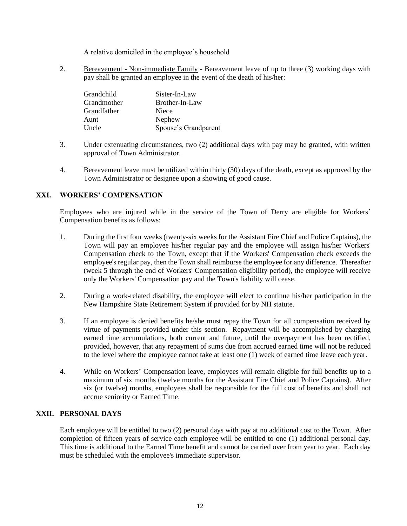A relative domiciled in the employee's household

2. Bereavement - Non-immediate Family - Bereavement leave of up to three (3) working days with pay shall be granted an employee in the event of the death of his/her:

| Grandchild  | Sister-In-Law        |
|-------------|----------------------|
| Grandmother | Brother-In-Law       |
| Grandfather | Niece                |
| Aunt        | Nephew               |
| Uncle       | Spouse's Grandparent |

- 3. Under extenuating circumstances, two (2) additional days with pay may be granted, with written approval of Town Administrator.
- 4. Bereavement leave must be utilized within thirty (30) days of the death, except as approved by the Town Administrator or designee upon a showing of good cause.

#### **XXI. WORKERS' COMPENSATION**

Employees who are injured while in the service of the Town of Derry are eligible for Workers' Compensation benefits as follows:

- 1. During the first four weeks (twenty-six weeks for the Assistant Fire Chief and Police Captains), the Town will pay an employee his/her regular pay and the employee will assign his/her Workers' Compensation check to the Town, except that if the Workers' Compensation check exceeds the employee's regular pay, then the Town shall reimburse the employee for any difference. Thereafter (week 5 through the end of Workers' Compensation eligibility period), the employee will receive only the Workers' Compensation pay and the Town's liability will cease.
- 2. During a work-related disability, the employee will elect to continue his/her participation in the New Hampshire State Retirement System if provided for by NH statute.
- 3. If an employee is denied benefits he/she must repay the Town for all compensation received by virtue of payments provided under this section. Repayment will be accomplished by charging earned time accumulations, both current and future, until the overpayment has been rectified, provided, however, that any repayment of sums due from accrued earned time will not be reduced to the level where the employee cannot take at least one (1) week of earned time leave each year.
- 4. While on Workers' Compensation leave, employees will remain eligible for full benefits up to a maximum of six months (twelve months for the Assistant Fire Chief and Police Captains). After six (or twelve) months, employees shall be responsible for the full cost of benefits and shall not accrue seniority or Earned Time.

#### **XXII. PERSONAL DAYS**

Each employee will be entitled to two (2) personal days with pay at no additional cost to the Town. After completion of fifteen years of service each employee will be entitled to one (1) additional personal day. This time is additional to the Earned Time benefit and cannot be carried over from year to year. Each day must be scheduled with the employee's immediate supervisor.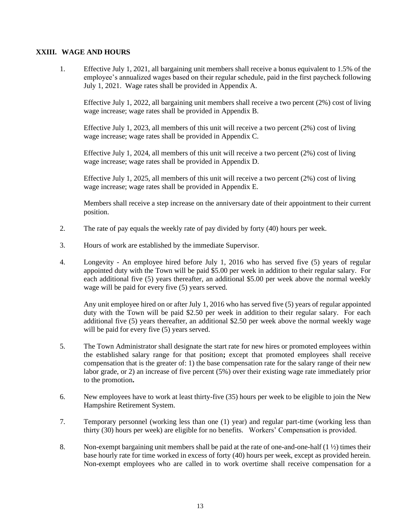#### **XXIII. WAGE AND HOURS**

1. Effective July 1, 2021, all bargaining unit members shall receive a bonus equivalent to 1.5% of the employee's annualized wages based on their regular schedule, paid in the first paycheck following July 1, 2021. Wage rates shall be provided in Appendix A.

Effective July 1, 2022, all bargaining unit members shall receive a two percent (2%) cost of living wage increase; wage rates shall be provided in Appendix B.

Effective July 1, 2023, all members of this unit will receive a two percent (2%) cost of living wage increase; wage rates shall be provided in Appendix C.

Effective July 1, 2024, all members of this unit will receive a two percent (2%) cost of living wage increase; wage rates shall be provided in Appendix D.

Effective July 1, 2025, all members of this unit will receive a two percent (2%) cost of living wage increase; wage rates shall be provided in Appendix E.

Members shall receive a step increase on the anniversary date of their appointment to their current position.

- 2. The rate of pay equals the weekly rate of pay divided by forty (40) hours per week.
- 3. Hours of work are established by the immediate Supervisor.
- 4. Longevity An employee hired before July 1, 2016 who has served five (5) years of regular appointed duty with the Town will be paid \$5.00 per week in addition to their regular salary. For each additional five (5) years thereafter, an additional \$5.00 per week above the normal weekly wage will be paid for every five (5) years served.

Any unit employee hired on or after July 1, 2016 who has served five (5) years of regular appointed duty with the Town will be paid \$2.50 per week in addition to their regular salary. For each additional five (5) years thereafter, an additional \$2.50 per week above the normal weekly wage will be paid for every five  $(5)$  years served.

- 5. The Town Administrator shall designate the start rate for new hires or promoted employees within the established salary range for that position**;** except that promoted employees shall receive compensation that is the greater of: 1) the base compensation rate for the salary range of their new labor grade, or 2) an increase of five percent (5%) over their existing wage rate immediately prior to the promotion**.**
- 6. New employees have to work at least thirty-five (35) hours per week to be eligible to join the New Hampshire Retirement System.
- 7. Temporary personnel (working less than one (1) year) and regular part-time (working less than thirty (30) hours per week) are eligible for no benefits. Workers' Compensation is provided.
- 8. Non-exempt bargaining unit members shall be paid at the rate of one-and-one-half (1 ½) times their base hourly rate for time worked in excess of forty (40) hours per week, except as provided herein. Non-exempt employees who are called in to work overtime shall receive compensation for a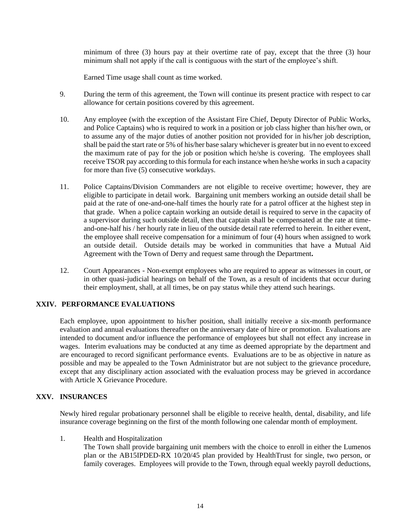minimum of three (3) hours pay at their overtime rate of pay, except that the three (3) hour minimum shall not apply if the call is contiguous with the start of the employee's shift.

Earned Time usage shall count as time worked.

- 9. During the term of this agreement, the Town will continue its present practice with respect to car allowance for certain positions covered by this agreement.
- 10. Any employee (with the exception of the Assistant Fire Chief, Deputy Director of Public Works, and Police Captains) who is required to work in a position or job class higher than his/her own, or to assume any of the major duties of another position not provided for in his/her job description, shall be paid the start rate or 5% of his/her base salary whichever is greater but in no event to exceed the maximum rate of pay for the job or position which he/she is covering. The employees shall receive TSOR pay according to this formula for each instance when he/she works in such a capacity for more than five (5) consecutive workdays.
- 11. Police Captains/Division Commanders are not eligible to receive overtime; however, they are eligible to participate in detail work. Bargaining unit members working an outside detail shall be paid at the rate of one-and-one-half times the hourly rate for a patrol officer at the highest step in that grade. When a police captain working an outside detail is required to serve in the capacity of a supervisor during such outside detail, then that captain shall be compensated at the rate at timeand-one-half his / her hourly rate in lieu of the outside detail rate referred to herein. In either event, the employee shall receive compensation for a minimum of four (4) hours when assigned to work an outside detail. Outside details may be worked in communities that have a Mutual Aid Agreement with the Town of Derry and request same through the Department**.**
- 12. Court Appearances Non-exempt employees who are required to appear as witnesses in court, or in other quasi-judicial hearings on behalf of the Town, as a result of incidents that occur during their employment, shall, at all times, be on pay status while they attend such hearings.

#### **XXIV. PERFORMANCE EVALUATIONS**

Each employee, upon appointment to his/her position, shall initially receive a six-month performance evaluation and annual evaluations thereafter on the anniversary date of hire or promotion. Evaluations are intended to document and/or influence the performance of employees but shall not effect any increase in wages. Interim evaluations may be conducted at any time as deemed appropriate by the department and are encouraged to record significant performance events. Evaluations are to be as objective in nature as possible and may be appealed to the Town Administrator but are not subject to the grievance procedure, except that any disciplinary action associated with the evaluation process may be grieved in accordance with Article X Grievance Procedure.

#### **XXV. INSURANCES**

Newly hired regular probationary personnel shall be eligible to receive health, dental, disability, and life insurance coverage beginning on the first of the month following one calendar month of employment.

1. Health and Hospitalization

The Town shall provide bargaining unit members with the choice to enroll in either the Lumenos plan or the AB15IPDED-RX 10/20/45 plan provided by HealthTrust for single, two person, or family coverages. Employees will provide to the Town, through equal weekly payroll deductions,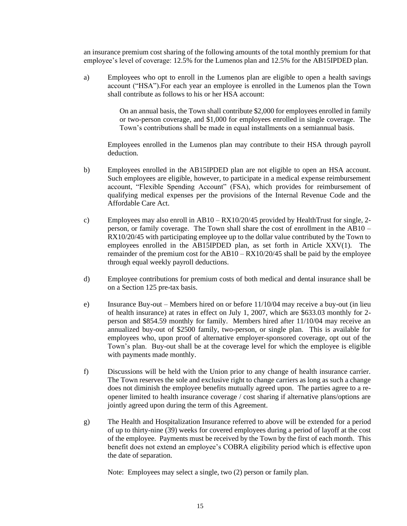an insurance premium cost sharing of the following amounts of the total monthly premium for that employee's level of coverage: 12.5% for the Lumenos plan and 12.5% for the AB15IPDED plan.

a) Employees who opt to enroll in the Lumenos plan are eligible to open a health savings account ("HSA").For each year an employee is enrolled in the Lumenos plan the Town shall contribute as follows to his or her HSA account:

> On an annual basis, the Town shall contribute \$2,000 for employees enrolled in family or two-person coverage, and \$1,000 for employees enrolled in single coverage. The Town's contributions shall be made in equal installments on a semiannual basis.

Employees enrolled in the Lumenos plan may contribute to their HSA through payroll deduction.

- b) Employees enrolled in the AB15IPDED plan are not eligible to open an HSA account. Such employees are eligible, however, to participate in a medical expense reimbursement account, "Flexible Spending Account" (FSA), which provides for reimbursement of qualifying medical expenses per the provisions of the Internal Revenue Code and the Affordable Care Act.
- c) Employees may also enroll in AB10 RX10/20/45 provided by HealthTrust for single, 2 person, or family coverage. The Town shall share the cost of enrollment in the AB10 – RX10/20/45 with participating employee up to the dollar value contributed by the Town to employees enrolled in the AB15IPDED plan, as set forth in Article XXV(1). The remainder of the premium cost for the AB10 – RX10/20/45 shall be paid by the employee through equal weekly payroll deductions.
- d) Employee contributions for premium costs of both medical and dental insurance shall be on a Section 125 pre-tax basis.
- e) Insurance Buy-out Members hired on or before 11/10/04 may receive a buy-out (in lieu of health insurance) at rates in effect on July 1, 2007, which are \$633.03 monthly for 2 person and \$854.59 monthly for family. Members hired after 11/10/04 may receive an annualized buy-out of \$2500 family, two-person, or single plan. This is available for employees who, upon proof of alternative employer-sponsored coverage, opt out of the Town's plan. Buy-out shall be at the coverage level for which the employee is eligible with payments made monthly.
- f) Discussions will be held with the Union prior to any change of health insurance carrier. The Town reserves the sole and exclusive right to change carriers as long as such a change does not diminish the employee benefits mutually agreed upon. The parties agree to a reopener limited to health insurance coverage / cost sharing if alternative plans/options are jointly agreed upon during the term of this Agreement.
- g) The Health and Hospitalization Insurance referred to above will be extended for a period of up to thirty-nine (39) weeks for covered employees during a period of layoff at the cost of the employee. Payments must be received by the Town by the first of each month. This benefit does not extend an employee's COBRA eligibility period which is effective upon the date of separation.

Note: Employees may select a single, two (2) person or family plan.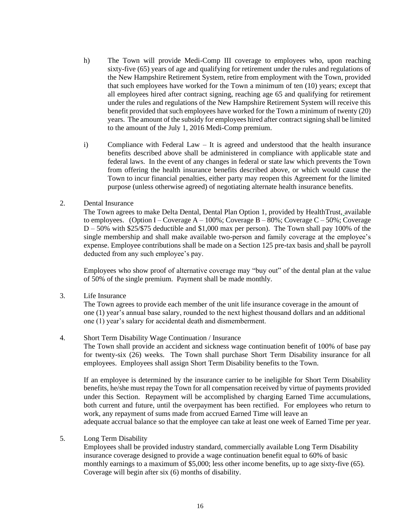- h) The Town will provide Medi-Comp III coverage to employees who, upon reaching sixty-five (65) years of age and qualifying for retirement under the rules and regulations of the New Hampshire Retirement System, retire from employment with the Town, provided that such employees have worked for the Town a minimum of ten (10) years; except that all employees hired after contract signing, reaching age 65 and qualifying for retirement under the rules and regulations of the New Hampshire Retirement System will receive this benefit provided that such employees have worked for the Town a minimum of twenty (20) years. The amount of the subsidy for employees hired after contract signing shall be limited to the amount of the July 1, 2016 Medi-Comp premium.
- i) Compliance with Federal Law It is agreed and understood that the health insurance benefits described above shall be administered in compliance with applicable state and federal laws. In the event of any changes in federal or state law which prevents the Town from offering the health insurance benefits described above, or which would cause the Town to incur financial penalties, either party may reopen this Agreement for the limited purpose (unless otherwise agreed) of negotiating alternate health insurance benefits.

#### 2. Dental Insurance

The Town agrees to make Delta Dental, Dental Plan Option 1, provided by HealthTrust, available to employees. (Option I – Coverage  $A - 100\%$ ; Coverage B – 80%; Coverage C – 50%; Coverage D – 50% with \$25/\$75 deductible and \$1,000 max per person). The Town shall pay 100% of the single membership and shall make available two-person and family coverage at the employee's expense. Employee contributions shall be made on a Section 125 pre-tax basis and shall be payroll deducted from any such employee's pay.

Employees who show proof of alternative coverage may "buy out" of the dental plan at the value of 50% of the single premium. Payment shall be made monthly.

3. Life Insurance

The Town agrees to provide each member of the unit life insurance coverage in the amount of one (1) year's annual base salary, rounded to the next highest thousand dollars and an additional one (1) year's salary for accidental death and dismemberment.

#### 4. Short Term Disability Wage Continuation / Insurance

The Town shall provide an accident and sickness wage continuation benefit of 100% of base pay for twenty-six (26) weeks. The Town shall purchase Short Term Disability insurance for all employees. Employees shall assign Short Term Disability benefits to the Town.

If an employee is determined by the insurance carrier to be ineligible for Short Term Disability benefits, he/she must repay the Town for all compensation received by virtue of payments provided under this Section. Repayment will be accomplished by charging Earned Time accumulations, both current and future, until the overpayment has been rectified. For employees who return to work, any repayment of sums made from accrued Earned Time will leave an adequate accrual balance so that the employee can take at least one week of Earned Time per year.

#### 5. Long Term Disability

Employees shall be provided industry standard, commercially available Long Term Disability insurance coverage designed to provide a wage continuation benefit equal to 60% of basic monthly earnings to a maximum of \$5,000; less other income benefits, up to age sixty-five (65). Coverage will begin after six (6) months of disability.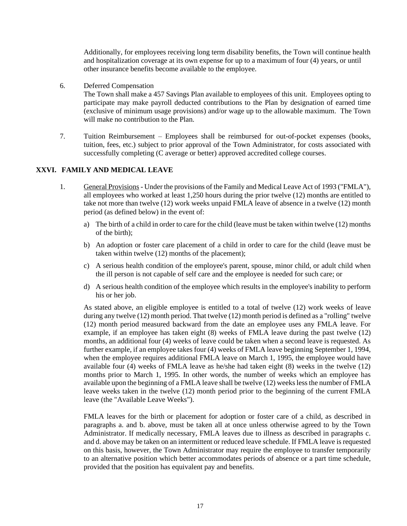Additionally, for employees receiving long term disability benefits, the Town will continue health and hospitalization coverage at its own expense for up to a maximum of four (4) years, or until other insurance benefits become available to the employee*.*

6. Deferred Compensation

The Town shall make a 457 Savings Plan available to employees of this unit. Employees opting to participate may make payroll deducted contributions to the Plan by designation of earned time (exclusive of minimum usage provisions) and/or wage up to the allowable maximum. The Town will make no contribution to the Plan.

7. Tuition Reimbursement – Employees shall be reimbursed for out-of-pocket expenses (books, tuition, fees, etc.) subject to prior approval of the Town Administrator, for costs associated with successfully completing (C average or better) approved accredited college courses.

#### **XXVI. FAMILY AND MEDICAL LEAVE**

- 1. General Provisions Under the provisions of the Family and Medical Leave Act of 1993 ("FMLA"), all employees who worked at least 1,250 hours during the prior twelve (12) months are entitled to take not more than twelve (12) work weeks unpaid FMLA leave of absence in a twelve (12) month period (as defined below) in the event of:
	- a) The birth of a child in order to care for the child (leave must be taken within twelve (12) months of the birth);
	- b) An adoption or foster care placement of a child in order to care for the child (leave must be taken within twelve (12) months of the placement);
	- c) A serious health condition of the employee's parent, spouse, minor child, or adult child when the ill person is not capable of self care and the employee is needed for such care; or
	- d) A serious health condition of the employee which results in the employee's inability to perform his or her job.

As stated above, an eligible employee is entitled to a total of twelve (12) work weeks of leave during any twelve (12) month period. That twelve (12) month period is defined as a "rolling" twelve (12) month period measured backward from the date an employee uses any FMLA leave. For example, if an employee has taken eight (8) weeks of FMLA leave during the past twelve (12) months, an additional four (4) weeks of leave could be taken when a second leave is requested. As further example, if an employee takes four (4) weeks of FMLA leave beginning September 1, 1994, when the employee requires additional FMLA leave on March 1, 1995, the employee would have available four (4) weeks of FMLA leave as he/she had taken eight (8) weeks in the twelve (12) months prior to March 1, 1995. In other words, the number of weeks which an employee has available upon the beginning of a FMLA leave shall be twelve (12) weeks less the number of FMLA leave weeks taken in the twelve (12) month period prior to the beginning of the current FMLA leave (the "Available Leave Weeks").

FMLA leaves for the birth or placement for adoption or foster care of a child, as described in paragraphs a. and b. above, must be taken all at once unless otherwise agreed to by the Town Administrator. If medically necessary, FMLA leaves due to illness as described in paragraphs c. and d. above may be taken on an intermittent or reduced leave schedule. If FMLA leave is requested on this basis, however, the Town Administrator may require the employee to transfer temporarily to an alternative position which better accommodates periods of absence or a part time schedule, provided that the position has equivalent pay and benefits.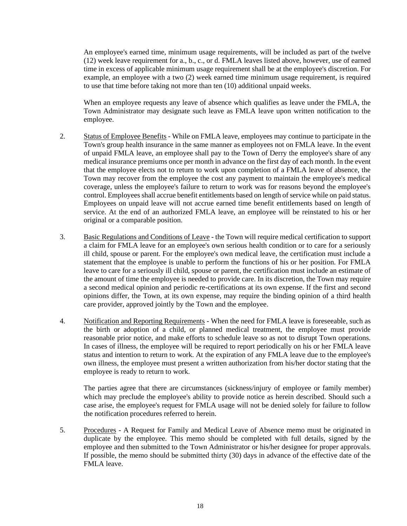An employee's earned time, minimum usage requirements, will be included as part of the twelve (12) week leave requirement for a., b., c., or d. FMLA leaves listed above, however, use of earned time in excess of applicable minimum usage requirement shall be at the employee's discretion. For example, an employee with a two (2) week earned time minimum usage requirement, is required to use that time before taking not more than ten (10) additional unpaid weeks.

When an employee requests any leave of absence which qualifies as leave under the FMLA, the Town Administrator may designate such leave as FMLA leave upon written notification to the employee.

- 2. Status of Employee Benefits While on FMLA leave, employees may continue to participate in the Town's group health insurance in the same manner as employees not on FMLA leave. In the event of unpaid FMLA leave, an employee shall pay to the Town of Derry the employee's share of any medical insurance premiums once per month in advance on the first day of each month. In the event that the employee elects not to return to work upon completion of a FMLA leave of absence, the Town may recover from the employee the cost any payment to maintain the employee's medical coverage, unless the employee's failure to return to work was for reasons beyond the employee's control. Employees shall accrue benefit entitlements based on length of service while on paid status. Employees on unpaid leave will not accrue earned time benefit entitlements based on length of service. At the end of an authorized FMLA leave, an employee will be reinstated to his or her original or a comparable position.
- 3. Basic Regulations and Conditions of Leave the Town will require medical certification to support a claim for FMLA leave for an employee's own serious health condition or to care for a seriously ill child, spouse or parent. For the employee's own medical leave, the certification must include a statement that the employee is unable to perform the functions of his or her position. For FMLA leave to care for a seriously ill child, spouse or parent, the certification must include an estimate of the amount of time the employee is needed to provide care. In its discretion, the Town may require a second medical opinion and periodic re-certifications at its own expense. If the first and second opinions differ, the Town, at its own expense, may require the binding opinion of a third health care provider, approved jointly by the Town and the employee.
- 4. Notification and Reporting Requirements When the need for FMLA leave is foreseeable, such as the birth or adoption of a child, or planned medical treatment, the employee must provide reasonable prior notice, and make efforts to schedule leave so as not to disrupt Town operations. In cases of illness, the employee will be required to report periodically on his or her FMLA leave status and intention to return to work. At the expiration of any FMLA leave due to the employee's own illness, the employee must present a written authorization from his/her doctor stating that the employee is ready to return to work.

The parties agree that there are circumstances (sickness/injury of employee or family member) which may preclude the employee's ability to provide notice as herein described. Should such a case arise, the employee's request for FMLA usage will not be denied solely for failure to follow the notification procedures referred to herein.

5. Procedures - A Request for Family and Medical Leave of Absence memo must be originated in duplicate by the employee. This memo should be completed with full details, signed by the employee and then submitted to the Town Administrator or his/her designee for proper approvals. If possible, the memo should be submitted thirty (30) days in advance of the effective date of the FMLA leave.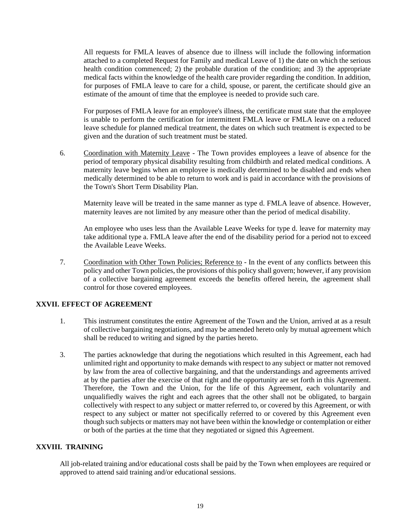All requests for FMLA leaves of absence due to illness will include the following information attached to a completed Request for Family and medical Leave of 1) the date on which the serious health condition commenced; 2) the probable duration of the condition; and 3) the appropriate medical facts within the knowledge of the health care provider regarding the condition. In addition, for purposes of FMLA leave to care for a child, spouse, or parent, the certificate should give an estimate of the amount of time that the employee is needed to provide such care.

For purposes of FMLA leave for an employee's illness, the certificate must state that the employee is unable to perform the certification for intermittent FMLA leave or FMLA leave on a reduced leave schedule for planned medical treatment, the dates on which such treatment is expected to be given and the duration of such treatment must be stated.

6. Coordination with Maternity Leave - The Town provides employees a leave of absence for the period of temporary physical disability resulting from childbirth and related medical conditions. A maternity leave begins when an employee is medically determined to be disabled and ends when medically determined to be able to return to work and is paid in accordance with the provisions of the Town's Short Term Disability Plan.

Maternity leave will be treated in the same manner as type d. FMLA leave of absence. However, maternity leaves are not limited by any measure other than the period of medical disability.

An employee who uses less than the Available Leave Weeks for type d. leave for maternity may take additional type a. FMLA leave after the end of the disability period for a period not to exceed the Available Leave Weeks.

7. Coordination with Other Town Policies; Reference to - In the event of any conflicts between this policy and other Town policies, the provisions of this policy shall govern; however, if any provision of a collective bargaining agreement exceeds the benefits offered herein, the agreement shall control for those covered employees.

#### **XXVII. EFFECT OF AGREEMENT**

- 1. This instrument constitutes the entire Agreement of the Town and the Union, arrived at as a result of collective bargaining negotiations, and may be amended hereto only by mutual agreement which shall be reduced to writing and signed by the parties hereto.
- 3. The parties acknowledge that during the negotiations which resulted in this Agreement, each had unlimited right and opportunity to make demands with respect to any subject or matter not removed by law from the area of collective bargaining, and that the understandings and agreements arrived at by the parties after the exercise of that right and the opportunity are set forth in this Agreement. Therefore, the Town and the Union, for the life of this Agreement, each voluntarily and unqualifiedly waives the right and each agrees that the other shall not be obligated, to bargain collectively with respect to any subject or matter referred to, or covered by this Agreement, or with respect to any subject or matter not specifically referred to or covered by this Agreement even though such subjects or matters may not have been within the knowledge or contemplation or either or both of the parties at the time that they negotiated or signed this Agreement.

#### **XXVIII. TRAINING**

All job-related training and/or educational costs shall be paid by the Town when employees are required or approved to attend said training and/or educational sessions.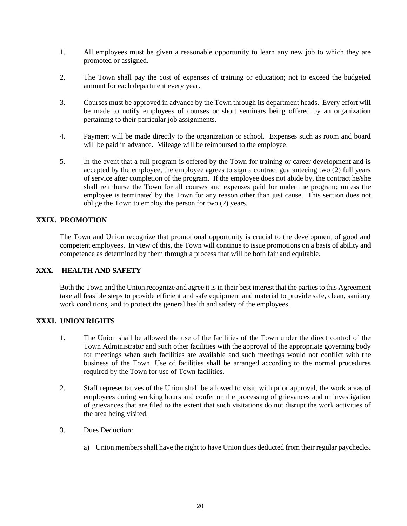- 1. All employees must be given a reasonable opportunity to learn any new job to which they are promoted or assigned.
- 2. The Town shall pay the cost of expenses of training or education; not to exceed the budgeted amount for each department every year.
- 3. Courses must be approved in advance by the Town through its department heads. Every effort will be made to notify employees of courses or short seminars being offered by an organization pertaining to their particular job assignments.
- 4. Payment will be made directly to the organization or school. Expenses such as room and board will be paid in advance. Mileage will be reimbursed to the employee.
- 5. In the event that a full program is offered by the Town for training or career development and is accepted by the employee, the employee agrees to sign a contract guaranteeing two (2) full years of service after completion of the program. If the employee does not abide by, the contract he/she shall reimburse the Town for all courses and expenses paid for under the program; unless the employee is terminated by the Town for any reason other than just cause. This section does not oblige the Town to employ the person for two (2) years.

#### **XXIX. PROMOTION**

The Town and Union recognize that promotional opportunity is crucial to the development of good and competent employees. In view of this, the Town will continue to issue promotions on a basis of ability and competence as determined by them through a process that will be both fair and equitable.

### **XXX. HEALTH AND SAFETY**

Both the Town and the Union recognize and agree it is in their best interest that the parties to this Agreement take all feasible steps to provide efficient and safe equipment and material to provide safe, clean, sanitary work conditions, and to protect the general health and safety of the employees.

#### **XXXI. UNION RIGHTS**

- 1. The Union shall be allowed the use of the facilities of the Town under the direct control of the Town Administrator and such other facilities with the approval of the appropriate governing body for meetings when such facilities are available and such meetings would not conflict with the business of the Town. Use of facilities shall be arranged according to the normal procedures required by the Town for use of Town facilities.
- 2. Staff representatives of the Union shall be allowed to visit, with prior approval, the work areas of employees during working hours and confer on the processing of grievances and or investigation of grievances that are filed to the extent that such visitations do not disrupt the work activities of the area being visited.
- 3. Dues Deduction:
	- a) Union members shall have the right to have Union dues deducted from their regular paychecks.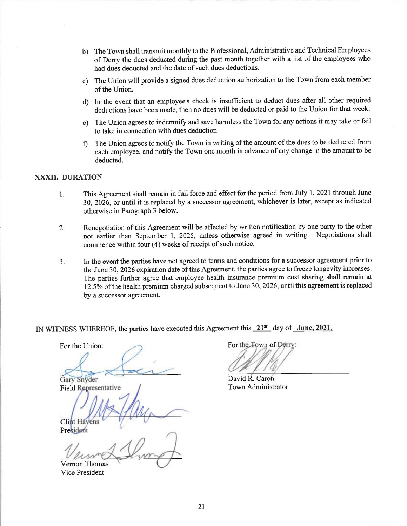- b) The Town shall transmit monthly to the Professional, Administrative and Technical Employees of Derry the dues deducted during the past month together with a list of the employees who had dues deducted and the date of such dues deductions.
- c) The Union will provide a signed dues deduction authorization to the Town from each member of the Union.
- d) In the event that an employee's check is insufficient to deduct dues after all other required deductions have been made, then no dues will be deducted or paid to the Union for that week.
- e) The Union agrees to indemnify and save harmless the Town for any actions it may take or fail to take in connection with dues deduction.
- f) The Union agrees to notify the Town in writing of the amount of the dues to be deducted from each employee, and notify the Town one month in advance of any change in the amount to be deducted.

#### **XXXII. DURATION**

- This Agreement shall remain in full force and effect for the period from July 1, 2021 through June 1. 30, 2026, or until it is replaced by a successor agreement, whichever is later, except as indicated otherwise in Paragraph 3 below.
- Renegotiation of this Agreement will be affected by written notification by one party to the other  $\overline{2}$ . not earlier than September 1, 2025, unless otherwise agreed in writing. Negotiations shall commence within four (4) weeks of receipt of such notice.
- In the event the parties have not agreed to terms and conditions for a successor agreement prior to  $\overline{3}$ . the June 30, 2026 expiration date of this Agreement, the parties agree to freeze longevity increases. The parties further agree that employee health insurance premium cost sharing shall remain at 12.5% of the health premium charged subsequent to June 30, 2026, until this agreement is replaced by a successor agreement.

IN WITNESS WHEREOF, the parties have executed this Agreement this 21<sup>st</sup> day of June, 2021.

For the Union:

Gary Snyder **Field Representative** 

**Clint Havens** 

President **Vernon Thomas** 

**Vice President** 

For the Town of Derry:

David R. Caron Town Administrator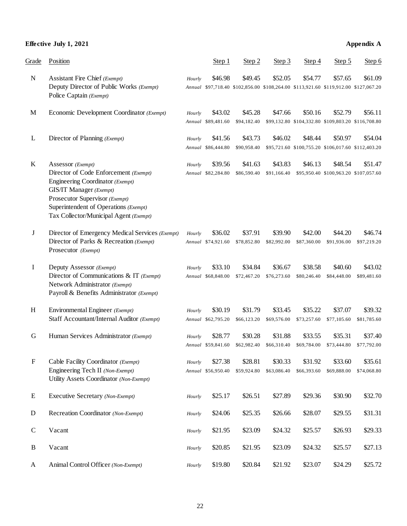### **Effective July 1, 2021 Appendix A**

| Grade       | Position                                                                                                                                                                                                                                              |        | Step 1                        | Step 2                 | Step 3                 | Step 4                 | Step 5                                                                                         | Step 6                 |
|-------------|-------------------------------------------------------------------------------------------------------------------------------------------------------------------------------------------------------------------------------------------------------|--------|-------------------------------|------------------------|------------------------|------------------------|------------------------------------------------------------------------------------------------|------------------------|
| ${\bf N}$   | Assistant Fire Chief (Exempt)<br>Deputy Director of Public Works (Exempt)<br>Police Captain (Exempt)                                                                                                                                                  | Hourly | \$46.98                       | \$49.45                | \$52.05                | \$54.77                | \$57.65<br>Annual \$97,718.40 \$102,856.00 \$108,264.00 \$113,921.60 \$119,912.00 \$127,067.20 | \$61.09                |
| $\mathbf M$ | Economic Development Coordinator (Exempt)                                                                                                                                                                                                             | Hourly | \$43.02<br>Annual \$89,481.60 | \$45.28<br>\$94,182.40 | \$47.66                | \$50.16                | \$52.79<br>\$99,132.80 \$104,332.80 \$109,803.20 \$116,708.80                                  | \$56.11                |
| L           | Director of Planning (Exempt)                                                                                                                                                                                                                         | Hourly | \$41.56<br>Annual \$86,444.80 | \$43.73<br>\$90,958.40 | \$46.02                | \$48.44                | \$50.97<br>\$95,721.60 \$100,755.20 \$106,017.60 \$112,403.20                                  | \$54.04                |
| K           | Assessor (Exempt)<br>Director of Code Enforcement (Exempt)<br>Engineering Coordinator (Exempt)<br><b>GIS/IT Manager</b> (Exempt)<br>Prosecutor Supervisor (Exempt)<br>Superintendent of Operations (Exempt)<br>Tax Collector/Municipal Agent (Exempt) | Hourly | \$39.56<br>Annual \$82,284.80 | \$41.63<br>\$86,590.40 | \$43.83<br>\$91,166.40 | \$46.13                | \$48.54<br>\$95,950.40 \$100,963.20 \$107,057.60                                               | \$51.47                |
| J           | Director of Emergency Medical Services (Exempt)<br>Director of Parks & Recreation (Exempt)<br>Prosecutor (Exempt)                                                                                                                                     | Hourly | \$36.02<br>Annual \$74,921.60 | \$37.91<br>\$78,852.80 | \$39.90<br>\$82,992.00 | \$42.00<br>\$87,360.00 | \$44.20<br>\$91,936.00                                                                         | \$46.74<br>\$97,219.20 |
| I           | Deputy Assessor (Exempt)<br>Director of Communications & IT (Exempt)<br>Network Administrator (Exempt)<br>Payroll & Benefits Administrator (Exempt)                                                                                                   | Hourly | \$33.10<br>Annual \$68,848.00 | \$34.84<br>\$72,467.20 | \$36.67<br>\$76,273.60 | \$38.58<br>\$80,246.40 | \$40.60<br>\$84,448.00                                                                         | \$43.02<br>\$89,481.60 |
| H           | Environmental Engineer (Exempt)<br>Staff Accountant/Internal Auditor (Exempt)                                                                                                                                                                         | Hourly | \$30.19<br>Annual \$62,795.20 | \$31.79<br>\$66,123.20 | \$33.45<br>\$69,576.00 | \$35.22<br>\$73,257.60 | \$37.07<br>\$77,105.60                                                                         | \$39.32<br>\$81,785.60 |
| G           | Human Services Administrator (Exempt)                                                                                                                                                                                                                 | Hourly | \$28.77<br>Annual \$59,841.60 | \$30.28<br>\$62,982.40 | \$31.88<br>\$66,310.40 | \$33.55<br>\$69,784.00 | \$35.31<br>\$73,444.80                                                                         | \$37.40<br>\$77,792.00 |
| ${\bf F}$   | Cable Facility Coordinator (Exempt)<br>Engineering Tech II (Non-Exempt)<br>Utility Assets Coordinator (Non-Exempt)                                                                                                                                    | Hourly | \$27.38<br>Annual \$56,950.40 | \$28.81<br>\$59,924.80 | \$30.33<br>\$63,086.40 | \$31.92<br>\$66,393.60 | \$33.60<br>\$69,888.00                                                                         | \$35.61<br>\$74,068.80 |
| E           | Executive Secretary (Non-Exempt)                                                                                                                                                                                                                      | Hourly | \$25.17                       | \$26.51                | \$27.89                | \$29.36                | \$30.90                                                                                        | \$32.70                |
| ${\bf D}$   | Recreation Coordinator (Non-Exempt)                                                                                                                                                                                                                   | Hourly | \$24.06                       | \$25.35                | \$26.66                | \$28.07                | \$29.55                                                                                        | \$31.31                |
| $\mathsf C$ | Vacant                                                                                                                                                                                                                                                | Hourly | \$21.95                       | \$23.09                | \$24.32                | \$25.57                | \$26.93                                                                                        | \$29.33                |
| B           | Vacant                                                                                                                                                                                                                                                | Hourly | \$20.85                       | \$21.95                | \$23.09                | \$24.32                | \$25.57                                                                                        | \$27.13                |
| A           | Animal Control Officer (Non-Exempt)                                                                                                                                                                                                                   | Hourly | \$19.80                       | \$20.84                | \$21.92                | \$23.07                | \$24.29                                                                                        | \$25.72                |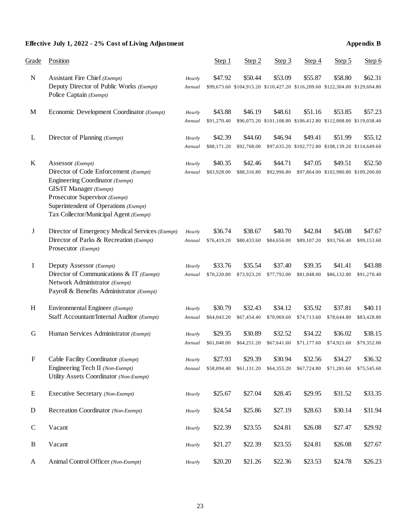## **Effective July 1, 2022 - 2% Cost of Living Adjustment Appendix B**

| Grade                     | Position                                                                                                                                                                                                                                              |                  | Step 1                 | Step 2                 | Step 3                 | Step 4                 | Step 5                                                                                  | Step 6                 |
|---------------------------|-------------------------------------------------------------------------------------------------------------------------------------------------------------------------------------------------------------------------------------------------------|------------------|------------------------|------------------------|------------------------|------------------------|-----------------------------------------------------------------------------------------|------------------------|
| ${\bf N}$                 | Assistant Fire Chief (Exempt)<br>Deputy Director of Public Works (Exempt)<br>Police Captain (Exempt)                                                                                                                                                  | Hourly<br>Annual | \$47.92                | \$50.44                | \$53.09                | \$55.87                | \$58.80<br>\$99,673.60 \$104,915.20 \$110,427.20 \$116,209.60 \$122,304.00 \$129,604.80 | \$62.31                |
| M                         | Economic Development Coordinator (Exempt)                                                                                                                                                                                                             | Hourly<br>Annual | \$43.88<br>\$91,270.40 | \$46.19                | \$48.61                | \$51.16                | \$53.85<br>\$96,075.20 \$101,108.80 \$106,412.80 \$112,008.00 \$119,038.40              | \$57.23                |
| L                         | Director of Planning (Exempt)                                                                                                                                                                                                                         | Hourly<br>Annual | \$42.39<br>\$88,171.20 | \$44.60<br>\$92,768.00 | \$46.94                | \$49.41                | \$51.99<br>\$97,635.20 \$102,772.80 \$108,139.20 \$114,649.60                           | \$55.12                |
| $\rm K$                   | Assessor (Exempt)<br>Director of Code Enforcement (Exempt)<br>Engineering Coordinator (Exempt)<br><b>GIS/IT Manager</b> (Exempt)<br>Prosecutor Supervisor (Exempt)<br>Superintendent of Operations (Exempt)<br>Tax Collector/Municipal Agent (Exempt) | Hourly<br>Annual | \$40.35<br>\$83,928.00 | \$42.46<br>\$88,316.80 | \$44.71<br>\$92,996.80 | \$47.05                | \$49.51<br>\$97,864.00 \$102,980.80 \$109,200.00                                        | \$52.50                |
| J                         | Director of Emergency Medical Services (Exempt)<br>Director of Parks & Recreation (Exempt)<br>Prosecutor (Exempt)                                                                                                                                     | Hourly<br>Annual | \$36.74<br>\$76,419.20 | \$38.67<br>\$80,433.60 | \$40.70<br>\$84,656.00 | \$42.84<br>\$89,107.20 | \$45.08<br>\$93,766.40                                                                  | \$47.67<br>\$99,153.60 |
| $\bf{I}$                  | Deputy Assessor (Exempt)<br>Director of Communications & IT (Exempt)<br>Network Administrator (Exempt)<br>Payroll & Benefits Administrator (Exempt)                                                                                                   | Hourly<br>Annual | \$33.76<br>\$70,220.80 | \$35.54<br>\$73,923.20 | \$37.40<br>\$77,792.00 | \$39.35<br>\$81,848.00 | \$41.41<br>\$86,132.80                                                                  | \$43.88<br>\$91,270.40 |
| H                         | Environmental Engineer (Exempt)<br>Staff Accountant/Internal Auditor (Exempt)                                                                                                                                                                         | Hourly<br>Annual | \$30.79<br>\$64,043.20 | \$32.43<br>\$67,454.40 | \$34.12<br>\$70,969.60 | \$35.92<br>\$74,713.60 | \$37.81<br>\$78,644.80                                                                  | \$40.11<br>\$83,428.80 |
| G                         | Human Services Administrator (Exempt)                                                                                                                                                                                                                 | Hourly<br>Annual | \$29.35<br>\$61,048.00 | \$30.89<br>\$64,251.20 | \$32.52<br>\$67,641.60 | \$34.22<br>\$71,177.60 | \$36.02<br>\$74,921.60                                                                  | \$38.15<br>\$79,352.00 |
| $\boldsymbol{\mathrm{F}}$ | Cable Facility Coordinator (Exempt)<br>Engineering Tech II (Non-Exempt)<br>Utility Assets Coordinator (Non-Exempt)                                                                                                                                    | Hourly<br>Annual | \$27.93<br>\$58,094.40 | \$29.39<br>\$61,131.20 | \$30.94<br>\$64,355.20 | \$32.56<br>\$67,724.80 | \$34.27<br>\$71,281.60                                                                  | \$36.32<br>\$75,545.60 |
| E                         | Executive Secretary (Non-Exempt)                                                                                                                                                                                                                      | Hourly           | \$25.67                | \$27.04                | \$28.45                | \$29.95                | \$31.52                                                                                 | \$33.35                |
| $\mathbf D$               | Recreation Coordinator (Non-Exempt)                                                                                                                                                                                                                   | Hourly           | \$24.54                | \$25.86                | \$27.19                | \$28.63                | \$30.14                                                                                 | \$31.94                |
| $\mathbf C$               | Vacant                                                                                                                                                                                                                                                | Hourly           | \$22.39                | \$23.55                | \$24.81                | \$26.08                | \$27.47                                                                                 | \$29.92                |
| B                         | Vacant                                                                                                                                                                                                                                                | Hourly           | \$21.27                | \$22.39                | \$23.55                | \$24.81                | \$26.08                                                                                 | \$27.67                |
| $\mathbf{A}$              | Animal Control Officer (Non-Exempt)                                                                                                                                                                                                                   | Hourly           | \$20.20                | \$21.26                | \$22.36                | \$23.53                | \$24.78                                                                                 | \$26.23                |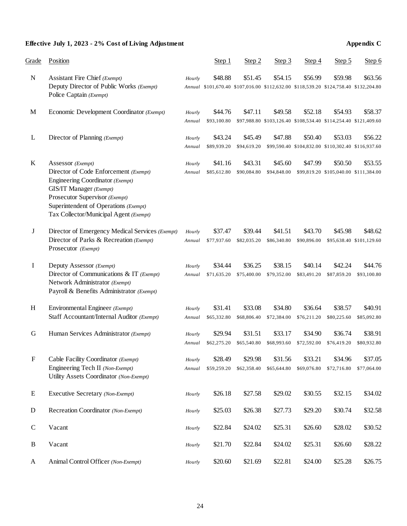## **Effective July 1, 2023 - 2% Cost of Living Adjustment Appendix C**

| Grade        | Position                                                                                                                                                                                                                                              |                  | Step 1                 | Step 2                 | Step 3                 | Step 4                 | Step 5                                                                                          | Step 6                              |
|--------------|-------------------------------------------------------------------------------------------------------------------------------------------------------------------------------------------------------------------------------------------------------|------------------|------------------------|------------------------|------------------------|------------------------|-------------------------------------------------------------------------------------------------|-------------------------------------|
| ${\bf N}$    | Assistant Fire Chief (Exempt)<br>Deputy Director of Public Works (Exempt)<br>Police Captain (Exempt)                                                                                                                                                  | Hourly           | \$48.88                | \$51.45                | \$54.15                | \$56.99                | \$59.98<br>Annual \$101,670.40 \$107,016.00 \$112,632.00 \$118,539.20 \$124,758.40 \$132,204.80 | \$63.56                             |
| M            | Economic Development Coordinator (Exempt)                                                                                                                                                                                                             | Hourly<br>Annual | \$44.76<br>\$93,100.80 | \$47.11                | \$49.58                | \$52.18                | \$54.93<br>\$97,988.80 \$103,126.40 \$108,534.40 \$114,254.40 \$121,409.60                      | \$58.37                             |
| L            | Director of Planning (Exempt)                                                                                                                                                                                                                         | Hourly<br>Annual | \$43.24<br>\$89,939.20 | \$45.49<br>\$94,619.20 | \$47.88                | \$50.40                | \$53.03<br>\$99,590.40 \$104,832.00 \$110,302.40 \$116,937.60                                   | \$56.22                             |
| $\bf K$      | Assessor (Exempt)<br>Director of Code Enforcement (Exempt)<br>Engineering Coordinator (Exempt)<br><b>GIS/IT Manager</b> (Exempt)<br>Prosecutor Supervisor (Exempt)<br>Superintendent of Operations (Exempt)<br>Tax Collector/Municipal Agent (Exempt) | Hourly<br>Annual | \$41.16<br>\$85,612.80 | \$43.31<br>\$90,084.80 | \$45.60<br>\$94,848.00 | \$47.99                | \$50.50<br>\$99,819.20 \$105,040.00 \$111,384.00                                                | \$53.55                             |
| $\bf J$      | Director of Emergency Medical Services (Exempt)<br>Director of Parks & Recreation (Exempt)<br>Prosecutor (Exempt)                                                                                                                                     | Hourly<br>Annual | \$37.47<br>\$77,937.60 | \$39.44<br>\$82,035.20 | \$41.51<br>\$86,340.80 | \$43.70<br>\$90,896.00 | \$45.98                                                                                         | \$48.62<br>\$95,638.40 \$101,129.60 |
| I            | Deputy Assessor (Exempt)<br>Director of Communications & IT (Exempt)<br>Network Administrator (Exempt)<br>Payroll & Benefits Administrator (Exempt)                                                                                                   | Hourly<br>Annual | \$34.44<br>\$71,635.20 | \$36.25<br>\$75,400.00 | \$38.15<br>\$79,352.00 | \$40.14<br>\$83,491.20 | \$42.24<br>\$87,859.20                                                                          | \$44.76<br>\$93,100.80              |
| H            | Environmental Engineer (Exempt)<br>Staff Accountant/Internal Auditor (Exempt)                                                                                                                                                                         | Hourly<br>Annual | \$31.41<br>\$65,332.80 | \$33.08<br>\$68,806.40 | \$34.80<br>\$72,384.00 | \$36.64<br>\$76,211.20 | \$38.57<br>\$80,225.60                                                                          | \$40.91<br>\$85,092.80              |
| G            | Human Services Administrator (Exempt)                                                                                                                                                                                                                 | Hourly<br>Annual | \$29.94<br>\$62,275.20 | \$31.51<br>\$65,540.80 | \$33.17<br>\$68,993.60 | \$34.90<br>\$72,592.00 | \$36.74<br>\$76,419.20                                                                          | \$38.91<br>\$80,932.80              |
| ${\bf F}$    | Cable Facility Coordinator (Exempt)<br>Engineering Tech II (Non-Exempt)<br>Utility Assets Coordinator (Non-Exempt)                                                                                                                                    | Hourly<br>Annual | \$28.49<br>\$59,259.20 | \$29.98<br>\$62,358.40 | \$31.56<br>\$65,644.80 | \$33.21<br>\$69,076.80 | \$34.96<br>\$72,716.80                                                                          | \$37.05<br>\$77,064.00              |
| E            | Executive Secretary (Non-Exempt)                                                                                                                                                                                                                      | Hourly           | \$26.18                | \$27.58                | \$29.02                | \$30.55                | \$32.15                                                                                         | \$34.02                             |
| $\mathbf D$  | Recreation Coordinator (Non-Exempt)                                                                                                                                                                                                                   | Hourly           | \$25.03                | \$26.38                | \$27.73                | \$29.20                | \$30.74                                                                                         | \$32.58                             |
| $\mathbf C$  | Vacant                                                                                                                                                                                                                                                | Hourly           | \$22.84                | \$24.02                | \$25.31                | \$26.60                | \$28.02                                                                                         | \$30.52                             |
| $\, {\bf B}$ | Vacant                                                                                                                                                                                                                                                | Hourly           | \$21.70                | \$22.84                | \$24.02                | \$25.31                | \$26.60                                                                                         | \$28.22                             |
| $\mathbf{A}$ | Animal Control Officer (Non-Exempt)                                                                                                                                                                                                                   | Hourly           | \$20.60                | \$21.69                | \$22.81                | \$24.00                | \$25.28                                                                                         | \$26.75                             |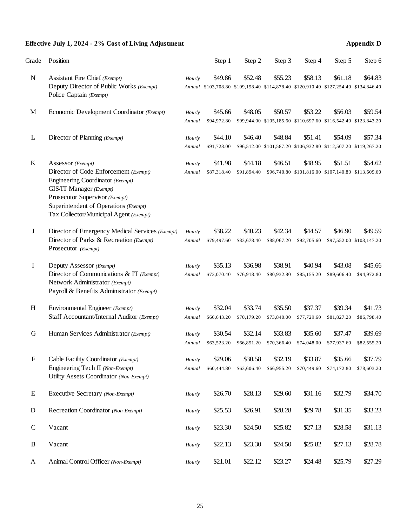## **Effective July 1, 2024 - 2% Cost of Living Adjustment Appendix D**

| Grade                     | Position                                                                                                                                                                                                                                              |                  | Step 1                 | Step 2                 | Step 3                 | Step 4                 | Step 5                                                                                          | Step 6                              |
|---------------------------|-------------------------------------------------------------------------------------------------------------------------------------------------------------------------------------------------------------------------------------------------------|------------------|------------------------|------------------------|------------------------|------------------------|-------------------------------------------------------------------------------------------------|-------------------------------------|
| ${\bf N}$                 | Assistant Fire Chief (Exempt)<br>Deputy Director of Public Works (Exempt)<br>Police Captain (Exempt)                                                                                                                                                  | Hourly           | \$49.86                | \$52.48                | \$55.23                | \$58.13                | \$61.18<br>Annual \$103,708.80 \$109,158.40 \$114,878.40 \$120,910.40 \$127,254.40 \$134,846.40 | \$64.83                             |
| M                         | Economic Development Coordinator (Exempt)                                                                                                                                                                                                             | Hourly<br>Annual | \$45.66<br>\$94,972.80 | \$48.05                | \$50.57                | \$53.22                | \$56.03<br>\$99,944.00 \$105,185.60 \$110,697.60 \$116,542.40 \$123,843.20                      | \$59.54                             |
| L                         | Director of Planning (Exempt)                                                                                                                                                                                                                         | Hourly<br>Annual | \$44.10<br>\$91,728.00 | \$46.40                | \$48.84                | \$51.41                | \$54.09<br>\$96,512.00 \$101,587.20 \$106,932.80 \$112,507.20 \$119,267.20                      | \$57.34                             |
| $\bf K$                   | Assessor (Exempt)<br>Director of Code Enforcement (Exempt)<br>Engineering Coordinator (Exempt)<br><b>GIS/IT Manager</b> (Exempt)<br>Prosecutor Supervisor (Exempt)<br>Superintendent of Operations (Exempt)<br>Tax Collector/Municipal Agent (Exempt) | Hourly<br>Annual | \$41.98<br>\$87,318.40 | \$44.18<br>\$91,894.40 | \$46.51                | \$48.95                | \$51.51<br>\$96,740.80 \$101,816.00 \$107,140.80 \$113,609.60                                   | \$54.62                             |
| $\bf J$                   | Director of Emergency Medical Services (Exempt)<br>Director of Parks & Recreation (Exempt)<br>Prosecutor (Exempt)                                                                                                                                     | Hourly<br>Annual | \$38.22<br>\$79,497.60 | \$40.23<br>\$83,678.40 | \$42.34<br>\$88,067.20 | \$44.57<br>\$92,705.60 | \$46.90                                                                                         | \$49.59<br>\$97,552.00 \$103,147.20 |
| I                         | Deputy Assessor (Exempt)<br>Director of Communications & IT (Exempt)<br>Network Administrator (Exempt)<br>Payroll & Benefits Administrator (Exempt)                                                                                                   | Hourly<br>Annual | \$35.13<br>\$73,070.40 | \$36.98<br>\$76,918.40 | \$38.91<br>\$80,932.80 | \$40.94<br>\$85,155.20 | \$43.08<br>\$89,606.40                                                                          | \$45.66<br>\$94,972.80              |
| H                         | Environmental Engineer (Exempt)<br>Staff Accountant/Internal Auditor (Exempt)                                                                                                                                                                         | Hourly<br>Annual | \$32.04<br>\$66,643.20 | \$33.74<br>\$70,179.20 | \$35.50<br>\$73,840.00 | \$37.37<br>\$77,729.60 | \$39.34<br>\$81,827.20                                                                          | \$41.73<br>\$86,798.40              |
| G                         | Human Services Administrator (Exempt)                                                                                                                                                                                                                 | Hourly<br>Annual | \$30.54<br>\$63,523.20 | \$32.14<br>\$66,851.20 | \$33.83<br>\$70,366.40 | \$35.60<br>\$74,048.00 | \$37.47<br>\$77,937.60                                                                          | \$39.69<br>\$82,555.20              |
| $\boldsymbol{\mathrm{F}}$ | Cable Facility Coordinator (Exempt)<br>Engineering Tech II (Non-Exempt)<br>Utility Assets Coordinator (Non-Exempt)                                                                                                                                    | Hourly<br>Annual | \$29.06<br>\$60,444.80 | \$30.58<br>\$63,606.40 | \$32.19<br>\$66,955.20 | \$33.87<br>\$70,449.60 | \$35.66<br>\$74,172.80                                                                          | \$37.79<br>\$78,603.20              |
| E                         | Executive Secretary (Non-Exempt)                                                                                                                                                                                                                      | Hourly           | \$26.70                | \$28.13                | \$29.60                | \$31.16                | \$32.79                                                                                         | \$34.70                             |
| $\mathbf D$               | Recreation Coordinator (Non-Exempt)                                                                                                                                                                                                                   | Hourly           | \$25.53                | \$26.91                | \$28.28                | \$29.78                | \$31.35                                                                                         | \$33.23                             |
| $\mathbf C$               | Vacant                                                                                                                                                                                                                                                | Hourly           | \$23.30                | \$24.50                | \$25.82                | \$27.13                | \$28.58                                                                                         | \$31.13                             |
| $\, {\bf B}$              | Vacant                                                                                                                                                                                                                                                | Hourly           | \$22.13                | \$23.30                | \$24.50                | \$25.82                | \$27.13                                                                                         | \$28.78                             |
| A                         | Animal Control Officer (Non-Exempt)                                                                                                                                                                                                                   | Hourly           | \$21.01                | \$22.12                | \$23.27                | \$24.48                | \$25.79                                                                                         | \$27.29                             |